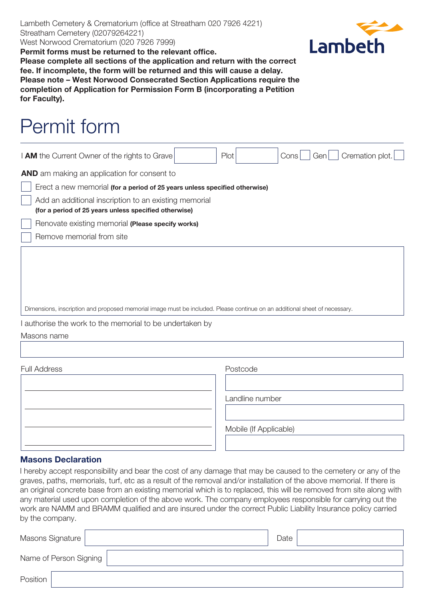Lambeth Cemetery & Crematorium (office at Streatham 020 7926 4221) Streatham Cemetery (02079264221) West Norwood Crematorium (020 7926 7999)



**Permit forms must be returned to the relevant office. Please complete all sections of the application and return with the correct fee. If incomplete, the form will be returned and this will cause a delay. Please note – West Norwood Consecrated Section Applications require the completion of Application for Permission Form B (incorporating a Petition for Faculty).**

## Permit form

| I AM the Current Owner of the rights to Grave                                                                              |  | Plot |  | Cons | Genl | Cremation plot. |  |
|----------------------------------------------------------------------------------------------------------------------------|--|------|--|------|------|-----------------|--|
| <b>AND</b> am making an application for consent to                                                                         |  |      |  |      |      |                 |  |
| Erect a new memorial (for a period of 25 years unless specified otherwise)                                                 |  |      |  |      |      |                 |  |
| Add an additional inscription to an existing memorial<br>(for a period of 25 years unless specified otherwise)             |  |      |  |      |      |                 |  |
| Renovate existing memorial (Please specify works)                                                                          |  |      |  |      |      |                 |  |
| Remove memorial from site                                                                                                  |  |      |  |      |      |                 |  |
|                                                                                                                            |  |      |  |      |      |                 |  |
|                                                                                                                            |  |      |  |      |      |                 |  |
|                                                                                                                            |  |      |  |      |      |                 |  |
| Dimensions, inscription and proposed memorial image must be included. Please continue on an additional sheet of necessary. |  |      |  |      |      |                 |  |
| $\frac{1}{2}$ outposed to a unulate the mean only $\frac{1}{2}$ of the linear product of $\frac{1}{2}$                     |  |      |  |      |      |                 |  |

I authorise the work to the memorial to be undertaken by

Masons name

Full Address **Postcode** 

Landline number

Mobile (If Applicable)

## **Masons Declaration**

I hereby accept responsibility and bear the cost of any damage that may be caused to the cemetery or any of the graves, paths, memorials, turf, etc as a result of the removal and/or installation of the above memorial. If there is an original concrete base from an existing memorial which is to replaced, this will be removed from site along with any material used upon completion of the above work. The company employees responsible for carrying out the work are NAMM and BRAMM qualified and are insured under the correct Public Liability Insurance policy carried by the company.

| Masons Signature       |  | Date |  |
|------------------------|--|------|--|
| Name of Person Signing |  |      |  |
| Position               |  |      |  |